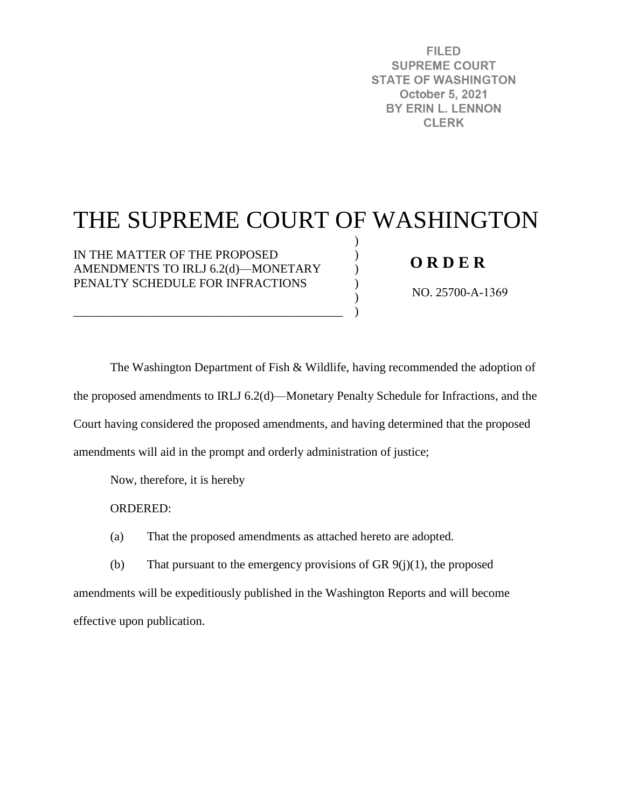**FILED SUPREME COURT STATE OF WASHINGTON October 5, 2021** BY ERIN L. LENNON **CLERK** 

# THE SUPREME COURT OF WASHINGTON

) ) ) ) ) )

IN THE MATTER OF THE PROPOSED AMENDMENTS TO IRLJ 6.2(d)—MONETARY PENALTY SCHEDULE FOR INFRACTIONS

\_\_\_\_\_\_\_\_\_\_\_\_\_\_\_\_\_\_\_\_\_\_\_\_\_\_\_\_\_\_\_\_\_\_\_\_\_\_\_\_\_\_\_\_

### **O R D E R**

NO. 25700-A-1369

The Washington Department of Fish & Wildlife, having recommended the adoption of the proposed amendments to IRLJ 6.2(d)—Monetary Penalty Schedule for Infractions, and the Court having considered the proposed amendments, and having determined that the proposed amendments will aid in the prompt and orderly administration of justice;

Now, therefore, it is hereby

ORDERED:

(a) That the proposed amendments as attached hereto are adopted.

(b) That pursuant to the emergency provisions of GR  $9(i)(1)$ , the proposed amendments will be expeditiously published in the Washington Reports and will become effective upon publication.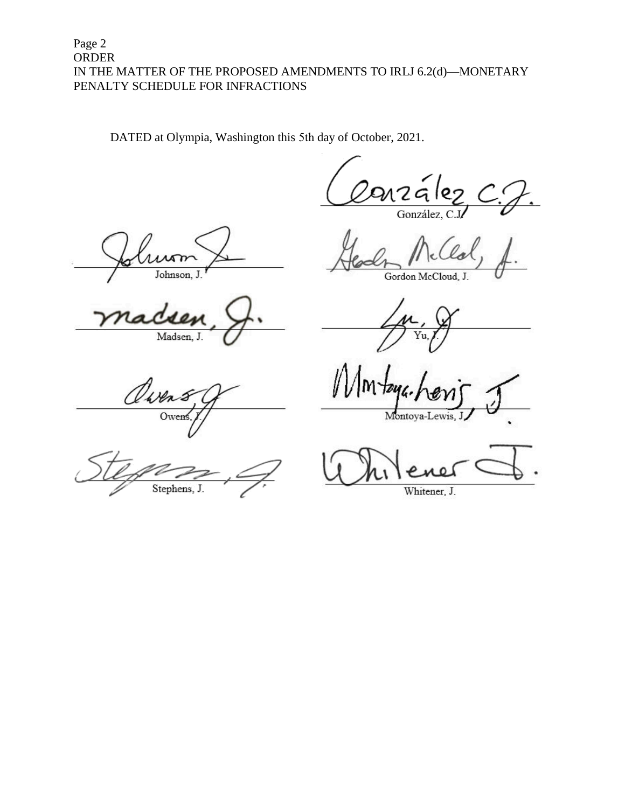#### Page 2 **ORDER** IN THE MATTER OF THE PROPOSED AMENDMENTS TO IRLJ 6.2(d)-MONETARY PENALTY SCHEDULE FOR INFRACTIONS

DATED at Olympia, Washington this 5th day of October, 2021.

González, C

Johnson, J

Madsen, J.

Gordon McCloud, J.

Montova-L

Wer Ower

Stephens, J.

Whitener, J.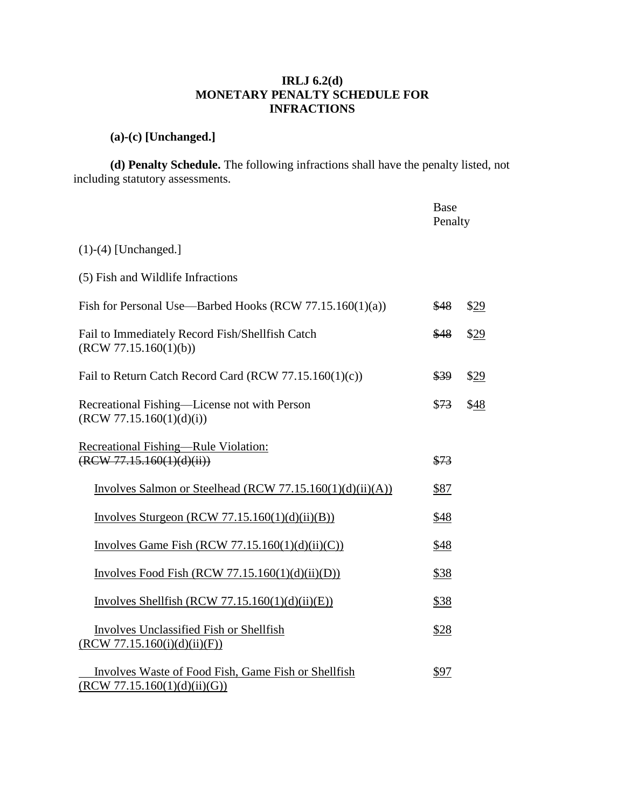#### **IRLJ 6.2(d) MONETARY PENALTY SCHEDULE FOR INFRACTIONS**

## **(a)-(c) [Unchanged.]**

**(d) Penalty Schedule.** The following infractions shall have the penalty listed, not including statutory assessments.

|                                                                                     | Base<br>Penalty |      |
|-------------------------------------------------------------------------------------|-----------------|------|
| $(1)-(4)$ [Unchanged.]                                                              |                 |      |
| (5) Fish and Wildlife Infractions                                                   |                 |      |
| Fish for Personal Use—Barbed Hooks (RCW 77.15.160(1)(a))                            | \$48            | \$29 |
| Fail to Immediately Record Fish/Shellfish Catch<br>(RCW 77.15.160(1)(b))            | \$48            | \$29 |
| Fail to Return Catch Record Card (RCW 77.15.160(1)(c))                              | \$39            | \$29 |
| Recreational Fishing-License not with Person<br>(RCW 77.15.160(1)(d)(i))            | \$73            | \$48 |
| Recreational Fishing—Rule Violation:<br>$(\text{RCW } 77.15.160(1)(d)(ii))$         | \$73            |      |
| Involves Salmon or Steelhead (RCW $77.15.160(1)(d)(ii)(A)$ )                        | \$87            |      |
| Involves Sturgeon (RCW 77.15.160(1)(d)(ii)(B))                                      | \$48            |      |
| Involves Game Fish (RCW 77.15.160(1)(d)(ii)(C))                                     | \$48            |      |
| Involves Food Fish (RCW $77.15.160(1)(d)(ii)(D))$                                   | \$38            |      |
| Involves Shellfish (RCW 77.15.160(1)(d)(ii)(E))                                     | \$38            |      |
| Involves Unclassified Fish or Shellfish<br>(RCW 77.15.160(i)(d)(ii)(F))             | \$28            |      |
| Involves Waste of Food Fish, Game Fish or Shellfish<br>(RCW 77.15.160(1)(d)(ii)(G)) | \$97            |      |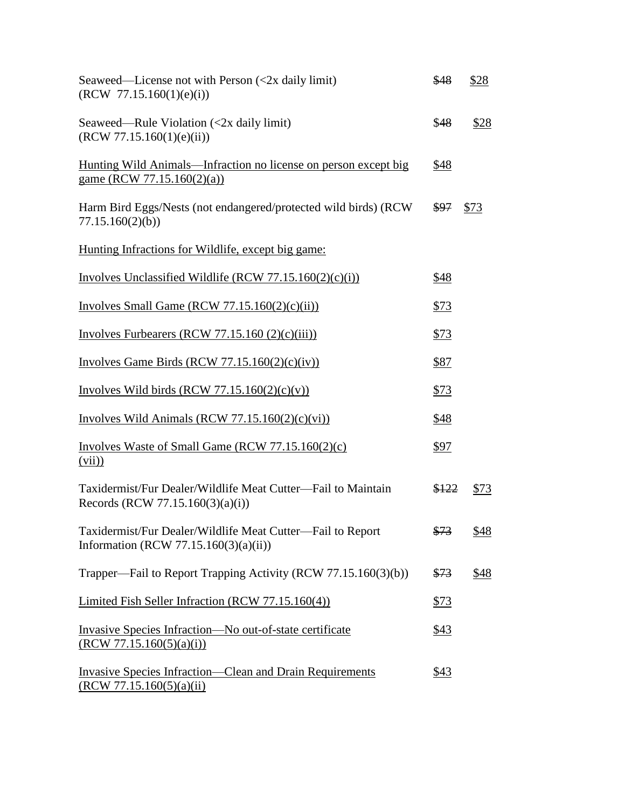| Seaweed—License not with Person $\left(\langle 2x \rangle \text{ daily limit}\right)$<br>(RCW 77.15.160(1)(e)(i)) | \$48  | \$28 |
|-------------------------------------------------------------------------------------------------------------------|-------|------|
| Seaweed—Rule Violation $\left\langle \cos 2x \right\rangle$ daily limit)<br>(RCW 77.15.160(1)(e)(ii))             | \$48  | \$28 |
| <u>Hunting Wild Animals—Infraction no license on person except big</u><br>game (RCW 77.15.160(2)(a))              | \$48  |      |
| Harm Bird Eggs/Nests (not endangered/protected wild birds) (RCW<br>77.15.160(2)(b)                                | \$97  | \$73 |
| Hunting Infractions for Wildlife, except big game:                                                                |       |      |
| Involves Unclassified Wildlife (RCW $77.15.160(2)(c)(i)$ )                                                        | \$48  |      |
| Involves Small Game (RCW $77.15.160(2)(c)(ii)$ )                                                                  | \$73  |      |
| Involves Furbearers (RCW 77.15.160 $(2)(c)(iii)$ )                                                                | \$73  |      |
| Involves Game Birds (RCW $77.15.160(2)(c)(iv)$ )                                                                  | \$87  |      |
| Involves Wild birds (RCW 77.15.160(2)(c)(v))                                                                      | \$73  |      |
| Involves Wild Animals (RCW $77.15.160(2)(c)(vi)$ )                                                                | \$48  |      |
| Involves Waste of Small Game (RCW $77.15.160(2)(c)$ )<br>(vii)                                                    | \$97  |      |
| Taxidermist/Fur Dealer/Wildlife Meat Cutter-Fail to Maintain<br>Records (RCW 77.15.160(3)(a)(i))                  | \$122 | \$73 |
| Taxidermist/Fur Dealer/Wildlife Meat Cutter-Fail to Report<br>Information (RCW 77.15.160 $(3)(a)(ii)$ )           | \$73  | \$48 |
| Trapper—Fail to Report Trapping Activity (RCW 77.15.160(3)(b))                                                    | \$73  | \$48 |
| Limited Fish Seller Infraction (RCW 77.15.160(4))                                                                 | \$73  |      |
| Invasive Species Infraction—No out-of-state certificate<br>(RCW 77.15.160(5)(a)(i))                               | \$43  |      |
| <b>Invasive Species Infraction—Clean and Drain Requirements</b><br>(RCW 77.15.160(5)(a)(ii)                       | \$43  |      |